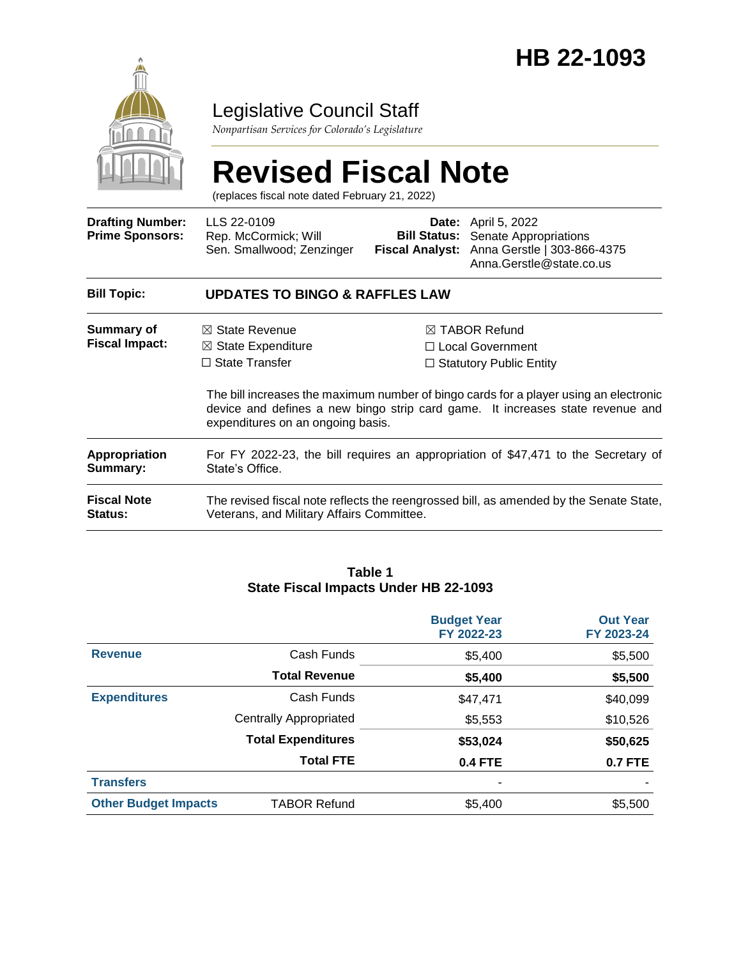

# Legislative Council Staff

*Nonpartisan Services for Colorado's Legislature*

# **Revised Fiscal Note**

(replaces fiscal note dated February 21, 2022)

| <b>Drafting Number:</b><br><b>Prime Sponsors:</b> | LLS 22-0109<br>Rep. McCormick; Will<br>Sen. Smallwood; Zenzinger                                                                                                                                             |                                                                                  | <b>Date:</b> April 5, 2022<br><b>Bill Status:</b> Senate Appropriations<br>Fiscal Analyst: Anna Gerstle   303-866-4375<br>Anna.Gerstle@state.co.us |  |  |
|---------------------------------------------------|--------------------------------------------------------------------------------------------------------------------------------------------------------------------------------------------------------------|----------------------------------------------------------------------------------|----------------------------------------------------------------------------------------------------------------------------------------------------|--|--|
| <b>Bill Topic:</b>                                | <b>UPDATES TO BINGO &amp; RAFFLES LAW</b>                                                                                                                                                                    |                                                                                  |                                                                                                                                                    |  |  |
| Summary of<br><b>Fiscal Impact:</b>               | $\boxtimes$ State Revenue<br>$\boxtimes$ State Expenditure<br>$\Box$ State Transfer                                                                                                                          | $\boxtimes$ TABOR Refund<br>□ Local Government<br>$\Box$ Statutory Public Entity |                                                                                                                                                    |  |  |
|                                                   | The bill increases the maximum number of bingo cards for a player using an electronic<br>device and defines a new bingo strip card game. It increases state revenue and<br>expenditures on an ongoing basis. |                                                                                  |                                                                                                                                                    |  |  |
| <b>Appropriation</b><br>Summary:                  | For FY 2022-23, the bill requires an appropriation of \$47,471 to the Secretary of<br>State's Office.                                                                                                        |                                                                                  |                                                                                                                                                    |  |  |
| <b>Fiscal Note</b><br><b>Status:</b>              | The revised fiscal note reflects the reengrossed bill, as amended by the Senate State,<br>Veterans, and Military Affairs Committee.                                                                          |                                                                                  |                                                                                                                                                    |  |  |

#### **Table 1 State Fiscal Impacts Under HB 22-1093**

|                             |                               | <b>Budget Year</b><br>FY 2022-23 | <b>Out Year</b><br>FY 2023-24 |
|-----------------------------|-------------------------------|----------------------------------|-------------------------------|
| <b>Revenue</b>              | Cash Funds                    | \$5,400                          | \$5,500                       |
|                             | <b>Total Revenue</b>          | \$5,400                          | \$5,500                       |
| <b>Expenditures</b>         | Cash Funds                    | \$47,471                         | \$40,099                      |
|                             | <b>Centrally Appropriated</b> | \$5,553                          | \$10,526                      |
|                             | <b>Total Expenditures</b>     | \$53,024                         | \$50,625                      |
|                             | <b>Total FTE</b>              | <b>0.4 FTE</b>                   | <b>0.7 FTE</b>                |
| <b>Transfers</b>            |                               | ۰                                |                               |
| <b>Other Budget Impacts</b> | <b>TABOR Refund</b>           | \$5,400                          | \$5,500                       |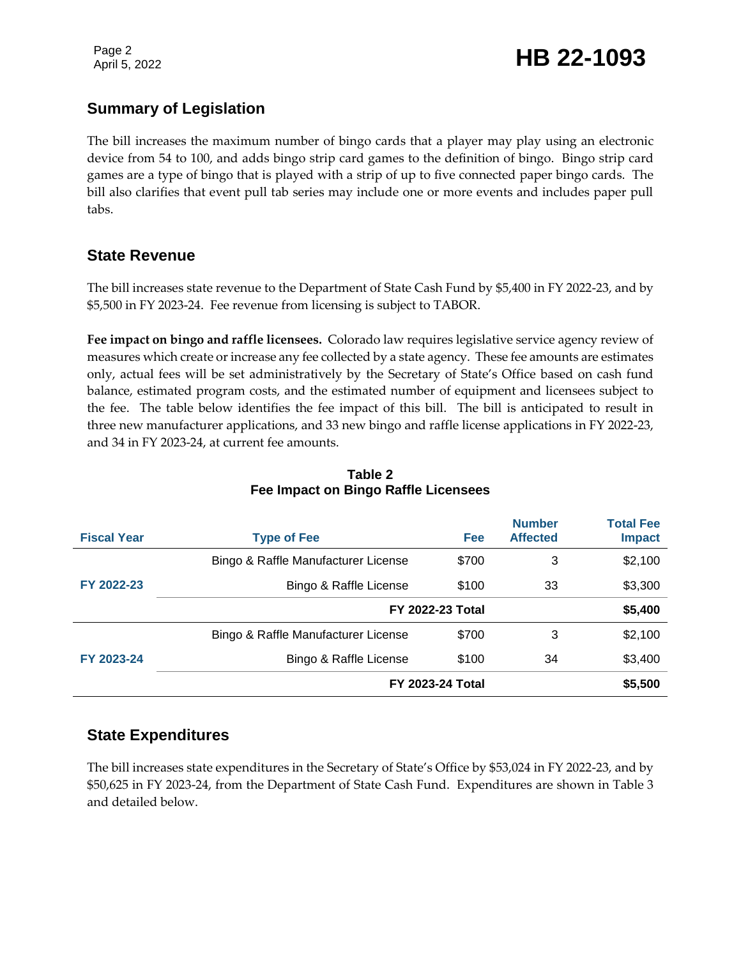Page 2

### **Summary of Legislation**

The bill increases the maximum number of bingo cards that a player may play using an electronic device from 54 to 100, and adds bingo strip card games to the definition of bingo. Bingo strip card games are a type of bingo that is played with a strip of up to five connected paper bingo cards. The bill also clarifies that event pull tab series may include one or more events and includes paper pull tabs.

### **State Revenue**

The bill increases state revenue to the Department of State Cash Fund by \$5,400 in FY 2022-23, and by \$5,500 in FY 2023-24. Fee revenue from licensing is subject to TABOR.

**Fee impact on bingo and raffle licensees.** Colorado law requires legislative service agency review of measures which create or increase any fee collected by a state agency. These fee amounts are estimates only, actual fees will be set administratively by the Secretary of State's Office based on cash fund balance, estimated program costs, and the estimated number of equipment and licensees subject to the fee. The table below identifies the fee impact of this bill. The bill is anticipated to result in three new manufacturer applications, and 33 new bingo and raffle license applications in FY 2022-23, and 34 in FY 2023-24, at current fee amounts.

| <b>Fiscal Year</b> | <b>Type of Fee</b>                  | <b>Fee</b> | <b>Number</b><br><b>Affected</b> | <b>Total Fee</b><br><b>Impact</b> |
|--------------------|-------------------------------------|------------|----------------------------------|-----------------------------------|
|                    | Bingo & Raffle Manufacturer License | \$700      | 3                                | \$2,100                           |
| FY 2022-23         | Bingo & Raffle License              | \$100      | 33                               | \$3,300                           |
|                    | <b>FY 2022-23 Total</b>             |            | \$5,400                          |                                   |
| FY 2023-24         | Bingo & Raffle Manufacturer License | \$700      | 3                                | \$2,100                           |
|                    | Bingo & Raffle License              | \$100      | 34                               | \$3,400                           |
|                    | <b>FY 2023-24 Total</b>             |            |                                  | \$5,500                           |

### **Table 2 Fee Impact on Bingo Raffle Licensees**

### **State Expenditures**

The bill increases state expenditures in the Secretary of State's Office by \$53,024 in FY 2022-23, and by \$50,625 in FY 2023-24, from the Department of State Cash Fund. Expenditures are shown in Table 3 and detailed below.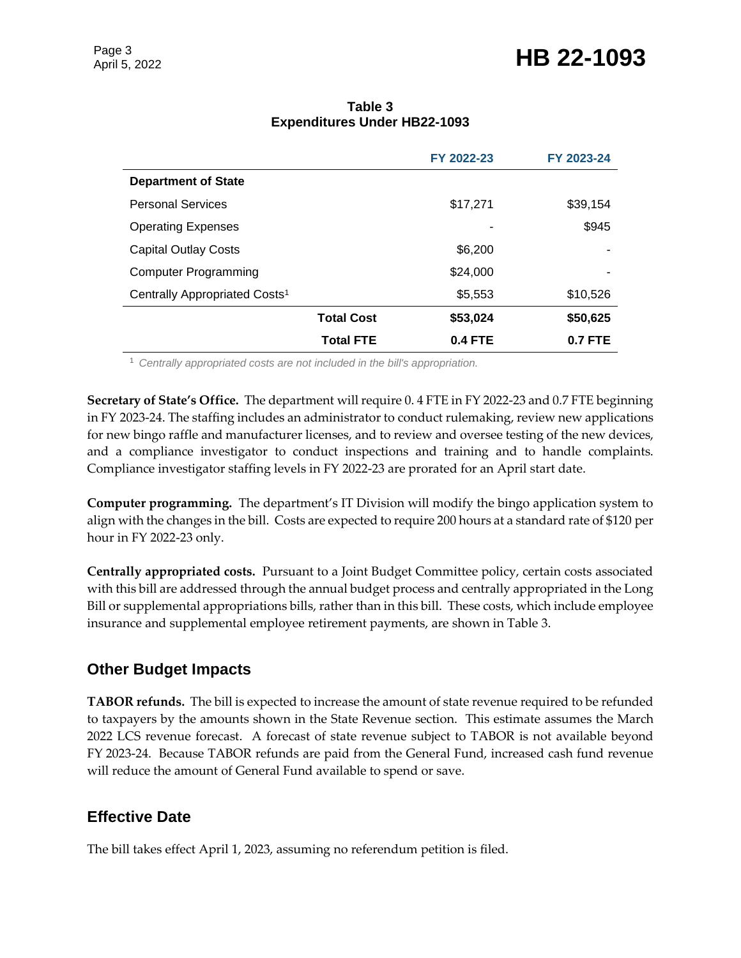# Page 3<br>April 5, 2022 **HB 22-1093**

|                                           |                   | FY 2022-23 | FY 2023-24 |
|-------------------------------------------|-------------------|------------|------------|
| <b>Department of State</b>                |                   |            |            |
| <b>Personal Services</b>                  |                   | \$17,271   | \$39,154   |
| <b>Operating Expenses</b>                 |                   |            | \$945      |
| <b>Capital Outlay Costs</b>               |                   | \$6,200    |            |
| <b>Computer Programming</b>               |                   | \$24,000   |            |
| Centrally Appropriated Costs <sup>1</sup> |                   | \$5,553    | \$10,526   |
|                                           | <b>Total Cost</b> | \$53,024   | \$50,625   |
|                                           | <b>Total FTE</b>  | $0.4$ FTE  | 0.7 FTE    |

### **Table 3 Expenditures Under HB22-1093**

<sup>1</sup> *Centrally appropriated costs are not included in the bill's appropriation.*

**Secretary of State's Office.** The department will require 0. 4 FTE in FY 2022-23 and 0.7 FTE beginning in FY 2023-24. The staffing includes an administrator to conduct rulemaking, review new applications for new bingo raffle and manufacturer licenses, and to review and oversee testing of the new devices, and a compliance investigator to conduct inspections and training and to handle complaints. Compliance investigator staffing levels in FY 2022-23 are prorated for an April start date.

**Computer programming.** The department's IT Division will modify the bingo application system to align with the changes in the bill. Costs are expected to require 200 hours at a standard rate of \$120 per hour in FY 2022-23 only.

**Centrally appropriated costs.** Pursuant to a Joint Budget Committee policy, certain costs associated with this bill are addressed through the annual budget process and centrally appropriated in the Long Bill or supplemental appropriations bills, rather than in this bill. These costs, which include employee insurance and supplemental employee retirement payments, are shown in Table 3.

### **Other Budget Impacts**

**TABOR refunds.** The bill is expected to increase the amount of state revenue required to be refunded to taxpayers by the amounts shown in the State Revenue section. This estimate assumes the March 2022 LCS revenue forecast. A forecast of state revenue subject to TABOR is not available beyond FY 2023-24. Because TABOR refunds are paid from the General Fund, increased cash fund revenue will reduce the amount of General Fund available to spend or save.

### **Effective Date**

The bill takes effect April 1, 2023, assuming no referendum petition is filed.